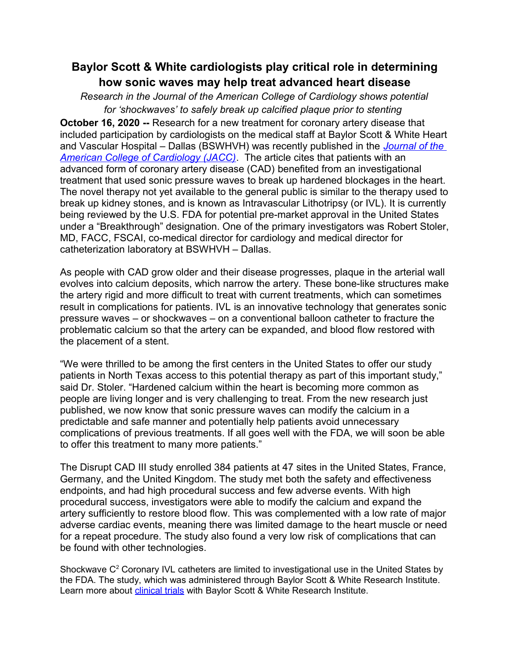# **Baylor Scott & White cardiologists play critical role in determining how sonic waves may help treat advanced heart disease**

*Research in the Journal of the American College of Cardiology shows potential for 'shockwaves' to safely break up calcified plaque prior to stenting* 

**October 16, 2020 --** Research for a new treatment for coronary artery disease that included participation by cardiologists on the medical staff at Baylor Scott & White Heart and Vascular Hospital – Dallas (BSWHVH) was recently published in the *[Journal of the](https://www.onlinejacc.org/content/early/2020/10/03/j.jacc.2020.09.603)  [American College of Cardiology \(JACC\)](https://www.onlinejacc.org/content/early/2020/10/03/j.jacc.2020.09.603)*. The article cites that patients with an advanced form of coronary artery disease (CAD) benefited from an investigational treatment that used sonic pressure waves to break up hardened blockages in the heart. The novel therapy not yet available to the general public is similar to the therapy used to break up kidney stones, and is known as Intravascular Lithotripsy (or IVL). It is currently being reviewed by the U.S. FDA for potential pre-market approval in the United States under a "Breakthrough" designation. One of the primary investigators was Robert Stoler, MD, FACC, FSCAI, co-medical director for cardiology and medical director for catheterization laboratory at BSWHVH – Dallas.

As people with CAD grow older and their disease progresses, plaque in the arterial wall evolves into calcium deposits, which narrow the artery. These bone-like structures make the artery rigid and more difficult to treat with current treatments, which can sometimes result in complications for patients. IVL is an innovative technology that generates sonic pressure waves – or shockwaves – on a conventional balloon catheter to fracture the problematic calcium so that the artery can be expanded, and blood flow restored with the placement of a stent.

"We were thrilled to be among the first centers in the United States to offer our study patients in North Texas access to this potential therapy as part of this important study," said Dr. Stoler. "Hardened calcium within the heart is becoming more common as people are living longer and is very challenging to treat. From the new research just published, we now know that sonic pressure waves can modify the calcium in a predictable and safe manner and potentially help patients avoid unnecessary complications of previous treatments. If all goes well with the FDA, we will soon be able to offer this treatment to many more patients."

The Disrupt CAD III study enrolled 384 patients at 47 sites in the United States, France, Germany, and the United Kingdom. The study met both the safety and effectiveness endpoints, and had high procedural success and few adverse events. With high procedural success, investigators were able to modify the calcium and expand the artery sufficiently to restore blood flow. This was complemented with a low rate of major adverse cardiac events, meaning there was limited damage to the heart muscle or need for a repeat procedure. The study also found a very low risk of complications that can be found with other technologies.

Shockwave  $C^2$  Coronary IVL catheters are limited to investigational use in the United States by the FDA. The study, which was administered through Baylor Scott & White Research Institute. Learn more about *clinical trials* with Baylor Scott & White Research Institute.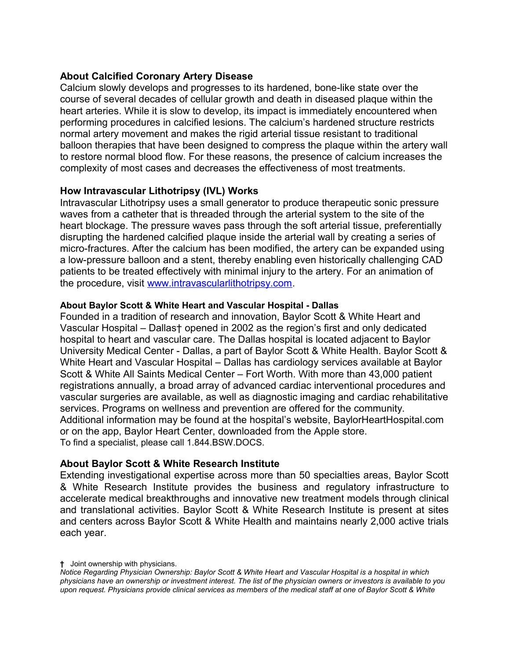## **About Calcified Coronary Artery Disease**

Calcium slowly develops and progresses to its hardened, bone-like state over the course of several decades of cellular growth and death in diseased plaque within the heart arteries. While it is slow to develop, its impact is immediately encountered when performing procedures in calcified lesions. The calcium's hardened structure restricts normal artery movement and makes the rigid arterial tissue resistant to traditional balloon therapies that have been designed to compress the plaque within the artery wall to restore normal blood flow. For these reasons, the presence of calcium increases the complexity of most cases and decreases the effectiveness of most treatments.

## **How Intravascular Lithotripsy (IVL) Works**

Intravascular Lithotripsy uses a small generator to produce therapeutic sonic pressure waves from a catheter that is threaded through the arterial system to the site of the heart blockage. The pressure waves pass through the soft arterial tissue, preferentially disrupting the hardened calcified plaque inside the arterial wall by creating a series of micro-fractures. After the calcium has been modified, the artery can be expanded using a low-pressure balloon and a stent, thereby enabling even historically challenging CAD patients to be treated effectively with minimal injury to the artery. For an animation of the procedure, visit [www.intravascularlithotripsy.com.](http://www.intravascularlithotripsy.com/)

### **About Baylor Scott & White Heart and Vascular Hospital - Dallas**

Founded in a tradition of research and innovation, Baylor Scott & White Heart and Vascular Hospital – Dallas† opened in 2002 as the region's first and only dedicated hospital to heart and vascular care. The Dallas hospital is located adjacent to Baylor University Medical Center - Dallas, a part of Baylor Scott & White Health. Baylor Scott & White Heart and Vascular Hospital – Dallas has cardiology services available at Baylor Scott & White All Saints Medical Center – Fort Worth. With more than 43,000 patient registrations annually, a broad array of advanced cardiac interventional procedures and vascular surgeries are available, as well as diagnostic imaging and cardiac rehabilitative services. Programs on wellness and prevention are offered for the community. Additional information may be found at the hospital's website, BaylorHeartHospital.com or on the app, Baylor Heart Center, downloaded from the Apple store. To find a specialist, please call 1.844.BSW.DOCS.

### **About Baylor Scott & White Research Institute**

Extending investigational expertise across more than 50 specialties areas, Baylor Scott & White Research Institute provides the business and regulatory infrastructure to accelerate medical breakthroughs and innovative new treatment models through clinical and translational activities. Baylor Scott & White Research Institute is present at sites and centers across Baylor Scott & White Health and maintains nearly 2,000 active trials each year.

**<sup>†</sup>** Joint ownership with physicians.

*Notice Regarding Physician Ownership: Baylor Scott & White Heart and Vascular Hospital is a hospital in which physicians have an ownership or investment interest. The list of the physician owners or investors is available to you upon request. Physicians provide clinical services as members of the medical staff at one of Baylor Scott & White*